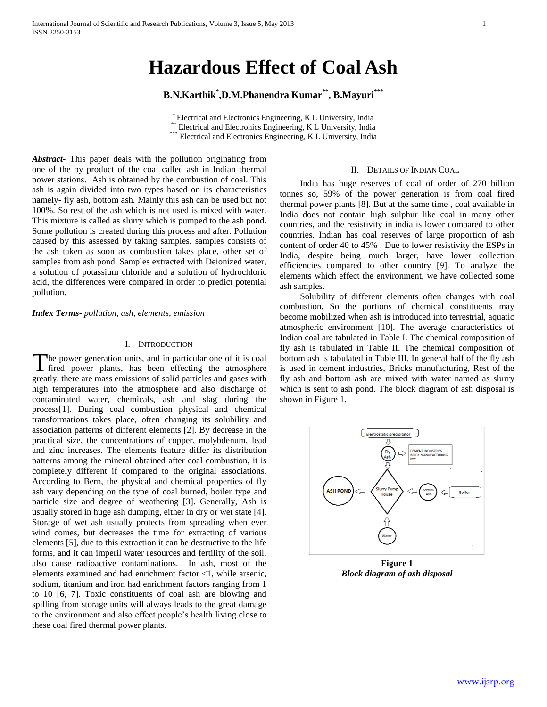# **Hazardous Effect of Coal Ash**

**B.N.Karthik\* ,D.M.Phanendra Kumar\*\*, B.Mayuri\*\*\***

\* Electrical and Electronics Engineering, K L University, India \*\* Electrical and Electronics Engineering, K L University, India \*\*\* Electrical and Electronics Engineering, K L University, India

*Abstract***-** This paper deals with the pollution originating from one of the by product of the coal called ash in Indian thermal power stations. Ash is obtained by the combustion of coal. This ash is again divided into two types based on its characteristics namely- fly ash, bottom ash. Mainly this ash can be used but not 100%. So rest of the ash which is not used is mixed with water. This mixture is called as slurry which is pumped to the ash pond. Some pollution is created during this process and after. Pollution caused by this assessed by taking samples. samples consists of the ash taken as soon as combustion takes place, other set of samples from ash pond. Samples extracted with Deionized water, a solution of potassium chloride and a solution of hydrochloric acid, the differences were compared in order to predict potential pollution.

*Index Terms*- *pollution, ash, elements, emission*

# I. INTRODUCTION

The power generation units, and in particular one of it is coal The power generation units, and in particular one of it is coal fired power plants, has been effecting the atmosphere greatly. there are mass emissions of solid particles and gases with high temperatures into the atmosphere and also discharge of contaminated water, chemicals, ash and slag during the process[1]. During coal combustion physical and chemical transformations takes place, often changing its solubility and association patterns of different elements [2]. By decrease in the practical size, the concentrations of copper, molybdenum, lead and zinc increases. The elements feature differ its distribution patterns among the mineral obtained after coal combustion, it is completely different if compared to the original associations. According to Bern, the physical and chemical properties of fly ash vary depending on the type of coal burned, boiler type and particle size and degree of weathering [3]. Generally, Ash is usually stored in huge ash dumping, either in dry or wet state [4]. Storage of wet ash usually protects from spreading when ever wind comes, but decreases the time for extracting of various elements [5], due to this extraction it can be destructive to the life forms, and it can imperil water resources and fertility of the soil, also cause radioactive contaminations. In ash, most of the elements examined and had enrichment factor <1, while arsenic, sodium, titanium and iron had enrichment factors ranging from 1 to 10 [6, 7]. Toxic constituents of coal ash are blowing and spilling from storage units will always leads to the great damage to the environment and also effect people's health living close to these coal fired thermal power plants.

# II. DETAILS OF INDIAN COAL

 India has huge reserves of coal of order of 270 billion tonnes so, 59% of the power generation is from coal fired thermal power plants [8]. But at the same time , coal available in India does not contain high sulphur like coal in many other countries, and the resistivity in india is lower compared to other countries. Indian has coal reserves of large proportion of ash content of order 40 to 45% . Due to lower resistivity the ESPs in India, despite being much larger, have lower collection efficiencies compared to other country [9]. To analyze the elements which effect the environment, we have collected some ash samples.

 Solubility of different elements often changes with coal combustion. So the portions of chemical constituents may become mobilized when ash is introduced into terrestrial, aquatic atmospheric environment [10]. The average characteristics of Indian coal are tabulated in Table I. The chemical composition of fly ash is tabulated in Table II. The chemical composition of bottom ash is tabulated in Table III. In general half of the fly ash is used in cement industries, Bricks manufacturing, Rest of the fly ash and bottom ash are mixed with water named as slurry which is sent to ash pond. The block diagram of ash disposal is shown in Figure 1.



**Figure 1** *Block diagram of ash disposal*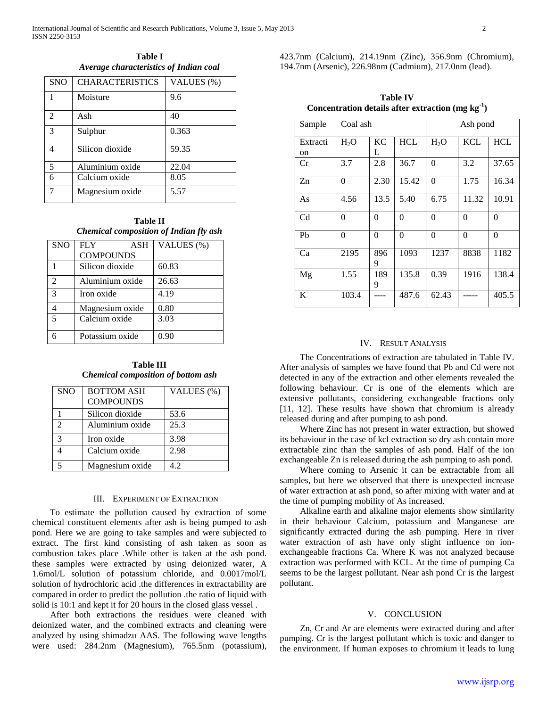**Table I** *Average characteristics of Indian coal*

| <b>SNO</b>                  | <b>CHARACTERISTICS</b> | VALUES (%) |  |  |
|-----------------------------|------------------------|------------|--|--|
|                             | Moisture               | 9.6        |  |  |
| $\mathcal{D}_{\mathcal{L}}$ | Ash                    | 40         |  |  |
| 3                           | Sulphur                | 0.363      |  |  |
|                             | Silicon dioxide        | 59.35      |  |  |
| 5                           | Aluminium oxide        | 22.04      |  |  |
| 6                           | Calcium oxide          | 8.05       |  |  |
|                             | Magnesium oxide        | 5.57       |  |  |

**Table II** *Chemical composition of Indian fly ash*

| <b>SNO</b>              | <b>FLY</b><br><b>ASH</b> | VALUES (%) |  |  |
|-------------------------|--------------------------|------------|--|--|
|                         | <b>COMPOUNDS</b>         |            |  |  |
|                         | Silicon dioxide          | 60.83      |  |  |
| $\mathfrak{D}$          | Aluminium oxide          | 26.63      |  |  |
| 3                       | Iron oxide               | 4.19       |  |  |
|                         | Magnesium oxide          | 0.80       |  |  |
| $\overline{\mathbf{a}}$ | Calcium oxide            | 3.03       |  |  |
|                         | Potassium oxide          | 0.90       |  |  |

**Table III C***hemical composition of bottom ash*

| <b>SNO</b>                  | <b>BOTTOM ASH</b> | VALUES (%) |  |  |
|-----------------------------|-------------------|------------|--|--|
|                             | <b>COMPOUNDS</b>  |            |  |  |
|                             | Silicon dioxide   | 53.6       |  |  |
| $\mathcal{D}_{\mathcal{A}}$ | Aluminium oxide   | 25.3       |  |  |
| 3                           | Iron oxide        | 3.98       |  |  |
|                             | Calcium oxide     | 2.98       |  |  |
| 5                           | Magnesium oxide   | 4.2        |  |  |

## III. EXPERIMENT OF EXTRACTION

 To estimate the pollution caused by extraction of some chemical constituent elements after ash is being pumped to ash pond. Here we are going to take samples and were subjected to extract. The first kind consisting of ash taken as soon as combustion takes place .While other is taken at the ash pond. these samples were extracted by using deionized water, A 1.6mol/L solution of potassium chloride, and 0.0017mol/L solution of hydrochloric acid .the differences in extractability are compared in order to predict the pollution .the ratio of liquid with solid is 10:1 and kept it for 20 hours in the closed glass vessel .

 After both extractions the residues were cleaned with deionized water, and the combined extracts and cleaning were analyzed by using shimadzu AAS. The following wave lengths were used: 284.2nm (Magnesium), 765.5nm (potassium),

423.7nm (Calcium), 214.19nm (Zinc), 356.9nm (Chromium), 194.7nm (Arsenic), 226.98nm (Cadmium), 217.0nm (lead).

**Table IV Concentration details after extraction (mg kg-1 )**

| Sample                    | Coal ash |                |            | Ash pond |            |            |
|---------------------------|----------|----------------|------------|----------|------------|------------|
| Extracti<br><sub>on</sub> | $H_2O$   | <b>KC</b><br>L | <b>HCL</b> | $H_2O$   | <b>KCL</b> | <b>HCL</b> |
| Cr                        | 3.7      | 2.8            | 36.7       | $\theta$ | 3.2        | 37.65      |
| Zn                        | $\Omega$ | 2.30           | 15.42      | $\theta$ | 1.75       | 16.34      |
| As                        | 4.56     | 13.5           | 5.40       | 6.75     | 11.32      | 10.91      |
| C <sub>d</sub>            | $\Omega$ | $\theta$       | $\theta$   | 0        | $\theta$   | $\theta$   |
| P <sub>b</sub>            | $\theta$ | $\theta$       | $\theta$   | $\theta$ | $\theta$   | $\theta$   |
| Ca                        | 2195     | 896<br>9       | 1093       | 1237     | 8838       | 1182       |
| Mg                        | 1.55     | 189<br>9       | 135.8      | 0.39     | 1916       | 138.4      |
| K                         | 103.4    |                | 487.6      | 62.43    |            | 405.5      |

### IV. RESULT ANALYSIS

 The Concentrations of extraction are tabulated in Table IV. After analysis of samples we have found that Pb and Cd were not detected in any of the extraction and other elements revealed the following behaviour. Cr is one of the elements which are extensive pollutants, considering exchangeable fractions only [11, 12]. These results have shown that chromium is already released during and after pumping to ash pond.

 Where Zinc has not present in water extraction, but showed its behaviour in the case of kcl extraction so dry ash contain more extractable zinc than the samples of ash pond. Half of the ion exchangeable Zn is released during the ash pumping to ash pond.

 Where coming to Arsenic it can be extractable from all samples, but here we observed that there is unexpected increase of water extraction at ash pond, so after mixing with water and at the time of pumping mobility of As increased.

 Alkaline earth and alkaline major elements show similarity in their behaviour Calcium, potassium and Manganese are significantly extracted during the ash pumping. Here in river water extraction of ash have only slight influence on ionexchangeable fractions Ca. Where K was not analyzed because extraction was performed with KCL. At the time of pumping Ca seems to be the largest pollutant. Near ash pond Cr is the largest pollutant.

#### V. CONCLUSION

 Zn, Cr and Ar are elements were extracted during and after pumping. Cr is the largest pollutant which is toxic and danger to the environment. If human exposes to chromium it leads to lung